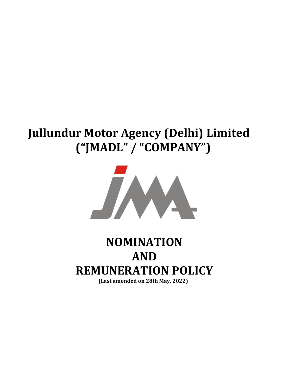## Jullundur Motor Agency (Delhi) Limited ("JMADL" / "COMPANY")



# NOMINATION AND REMUNERATION POLICY

(Last amended on 28th May, 2022)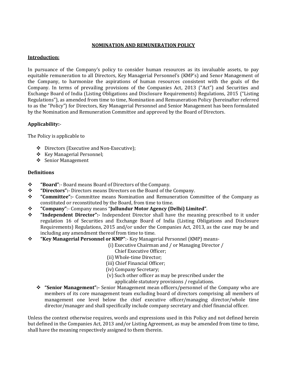## NOMINATION AND REMUNERATION POLICY

## Introduction:

In pursuance of the Company's policy to consider human resources as its invaluable assets, to pay equitable remuneration to all Directors, Key Managerial Personnel's (KMP's) and Senor Management of the Company, to harmonize the aspirations of human resources consistent with the goals of the Company. In terms of prevailing provisions of the Companies Act, 2013 ("Act") and Securities and Exchange Board of India (Listing Obligations and Disclosure Requirements) Regulations, 2015 ("Listing Regulations"), as amended from time to time, Nomination and Remuneration Policy (hereinafter referred to as the "Policy") for Directors, Key Managerial Personnel and Senior Management has been formulated by the Nomination and Remuneration Committee and approved by the Board of Directors.

## Applicability:-

The Policy is applicable to

- Directors (Executive and Non-Executive);
- Key Managerial Personnel;
- ❖ Senior Management

## **Definitions**

- "Board":- Board means Board of Directors of the Company.
- \* "Directors":- Directors means Directors on the Board of the Company.
- "Committee":- Committee means Nomination and Remuneration Committee of the Company as constituted or reconstituted by the Board, from time to time.
- "Company":- Company means "Jullundur Motor Agency (Delhi) Limited".
- $\div$  "Independent Director":- Independent Director shall have the meaning prescribed to it under regulation 16 of Securities and Exchange Board of India (Listing Obligations and Disclosure Requirements) Regulations, 2015 and/or under the Companies Act, 2013, as the case may be and including any amendment thereof from time to time.
- "Key Managerial Personnel or KMP":- Key Managerial Personnel (KMP) means-

(i) Executive Chairman and / or Managing Director /

- Chief Executive Officer;
- (ii) Whole-time Director;
- (iii) Chief Financial Officer;
- (iv) Company Secretary;
- (v) Such other officer as may be prescribed under the
	- applicable statutory provisions / regulations.
- "Senior Management":- Senior Management mean officers/personnel of the Company who are members of its core management team excluding board of directors comprising all members of management one level below the chief executive officer/managing director/whole time director/manager and shall specifically include company secretary and chief financial officer.

Unless the context otherwise requires, words and expressions used in this Policy and not defined herein but defined in the Companies Act, 2013 and/or Listing Agreement, as may be amended from time to time, shall have the meaning respectively assigned to them therein.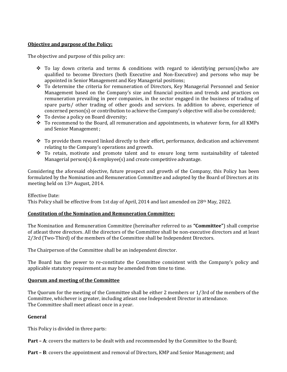## Objective and purpose of the Policy:

The objective and purpose of this policy are:

- $\div$  To lay down criteria and terms & conditions with regard to identifying person(s) who are qualified to become Directors (both Executive and Non-Executive) and persons who may be appointed in Senior Management and Key Managerial positions;
- \* To determine the criteria for remuneration of Directors, Key Managerial Personnel and Senior Management based on the Company's size and financial position and trends and practices on remuneration prevailing in peer companies, in the sector engaged in the business of trading of spare parts/ other trading of other goods and services. In addition to above, experience of concerned person(s) or contribution to achieve the Company's objective will also be considered;
- To devise a policy on Board diversity;
- $\div$  To recommend to the Board, all remuneration and appointments, in whatever form, for all KMPs and Senior Management ;
- $\cdot \cdot$  To provide them reward linked directly to their effort, performance, dedication and achievement relating to the Company's operations and growth.
- To retain, motivate and promote talent and to ensure long term sustainability of talented Managerial person(s) & employee(s) and create competitive advantage.

Considering the aforesaid objective, future prospect and growth of the Company, this Policy has been formulated by the Nomination and Remuneration Committee and adopted by the Board of Directors at its meeting held on 13th August, 2014.

#### Effective Date:

This Policy shall be effective from 1st day of April, 2014 and last amended on 28th May, 2022.

#### Constitution of the Nomination and Remuneration Committee:

The Nomination and Remuneration Committee (hereinafter referred to as "Committee") shall comprise of atleast three directors. All the directors of the Committee shall be non-executive directors and at least 2/3rd (Two-Third) of the members of the Committee shall be Independent Directors.

The Chairperson of the Committee shall be an independent director.

The Board has the power to re-constitute the Committee consistent with the Company's policy and applicable statutory requirement as may be amended from time to time.

#### Quorum and meeting of the Committee

The Quorum for the meeting of the Committee shall be either 2 members or 1/3rd of the members of the Committee, whichever is greater, including atleast one Independent Director in attendance. The Committee shall meet atleast once in a year.

#### General

This Policy is divided in three parts:

Part – A: covers the matters to be dealt with and recommended by the Committee to the Board;

Part – B: covers the appointment and removal of Directors, KMP and Senior Management; and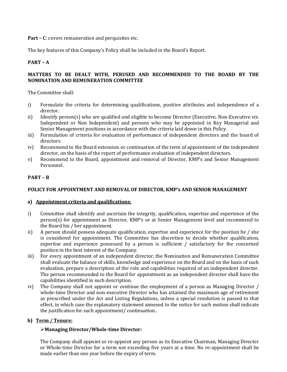Part – C: covers remuneration and perquisites etc.

The key features of this Company's Policy shall be included in the Board's Report.

## PART – A

#### MATTERS TO BE DEALT WITH, PERUSED AND RECOMMENDED TO THE BOARD BY THE NOMINATION AND REMUNERATION COMMITTEE

The Committee shall:

- i) Formulate the criteria for determining qualifications, positive attributes and independence of a director.
- ii) Identify person(s) who are qualified and eligible to become Director (Executive, Non-Executive viz. Independent or Non Independent) and persons who may be appointed in Key Managerial and Senior Management positions in accordance with the criteria laid down in this Policy.
- iii) Formulation of criteria for evaluation of performance of independent directors and the board of directors.
- iv) Recommend to the Board extension or continuation of the term of appointment of the independent director, on the basis of the report of performance evaluation of independent directors.
- v) Recommend to the Board, appointment and removal of Director, KMP's and Senior Management Personnel.

## PART – B

#### POLICY FOR APPOINTMENT AND REMOVAL OF DIRECTOR, KMP's AND SENIOR MANAGEMENT

#### a) Appointment criteria and qualifications:

- i) Committee shall identify and ascertain the integrity, qualification, expertise and experience of the person(s) for appointment as Director, KMP's or at Senior Management level and recommend to the Board his / her appointment.
- ii) A person should possess adequate qualification, expertise and experience for the position he / she is considered for appointment. The Committee has discretion to decide whether qualification, expertise and experience possessed by a person is sufficient / satisfactory for the concerned position in the best interest of the Company.
- iii) For every appointment of an independent director, the Nomination and Remuneration Committee shall evaluate the balance of skills, knowledge and experience on the Board and on the basis of such evaluation, prepare a description of the role and capabilities required of an independent director. The person recommended to the Board for appointment as an independent director shall have the capabilities identified in such description.
- iv) The Company shall not appoint or continue the employment of a person as Managing Director / whole-time Director and non-executive Director who has attained the maximum age of retirement as prescribed under the Act and Listing Regulations, unless a special resolution is passed to that effect, in which case the explanatory statement annexed to the notice for such motion shall indicate the justification for such appointment/ continuation..

#### b) Term / Tenure:

## Managing Director/Whole-time Director:

The Company shall appoint or re-appoint any person as its Executive Chairman, Managing Director or Whole-time Director for a term not exceeding five years at a time. No re-appointment shall be made earlier than one year before the expiry of term.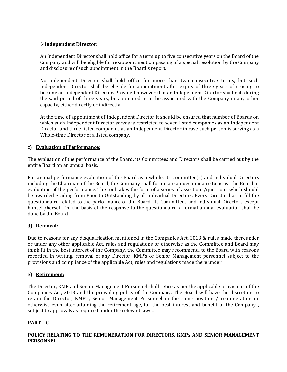## Independent Director:

An Independent Director shall hold office for a term up to five consecutive years on the Board of the Company and will be eligible for re-appointment on passing of a special resolution by the Company and disclosure of such appointment in the Board's report.

No Independent Director shall hold office for more than two consecutive terms, but such Independent Director shall be eligible for appointment after expiry of three years of ceasing to become an Independent Director. Provided however that an Independent Director shall not, during the said period of three years, be appointed in or be associated with the Company in any other capacity, either directly or indirectly.

At the time of appointment of Independent Director it should be ensured that number of Boards on which such Independent Director serves is restricted to seven listed companies as an Independent Director and three listed companies as an Independent Director in case such person is serving as a Whole-time Director of a listed company.

## c) Evaluation of Performance:

The evaluation of the performance of the Board, its Committees and Directors shall be carried out by the entire Board on an annual basis.

For annual performance evaluation of the Board as a whole, its Committee(s) and individual Directors including the Chairman of the Board, the Company shall formulate a questionnaire to assist the Board in evaluation of the performance. The tool takes the form of a series of assertions/questions which should be awarded grading from Poor to Outstanding by all individual Directors. Every Director has to fill the questionnaire related to the performance of the Board, its Committees and individual Directors except himself/herself. On the basis of the response to the questionnaire, a formal annual evaluation shall be done by the Board.

## d) Removal:

Due to reasons for any disqualification mentioned in the Companies Act, 2013 & rules made thereunder or under any other applicable Act, rules and regulations or otherwise as the Committee and Board may think fit in the best interest of the Company, the Committee may recommend, to the Board with reasons recorded in writing, removal of any Director, KMP's or Senior Management personnel subject to the provisions and compliance of the applicable Act, rules and regulations made there under.

## e) Retirement:

The Director, KMP and Senior Management Personnel shall retire as per the applicable provisions of the Companies Act, 2013 and the prevailing policy of the Company. The Board will have the discretion to retain the Director, KMP's, Senior Management Personnel in the same position / remuneration or otherwise even after attaining the retirement age, for the best interest and benefit of the Company , subject to approvals as required under the relevant laws..

## PART – C

POLICY RELATING TO THE REMUNERATION FOR DIRECTORS, KMPs AND SENIOR MANAGEMENT **PERSONNEL**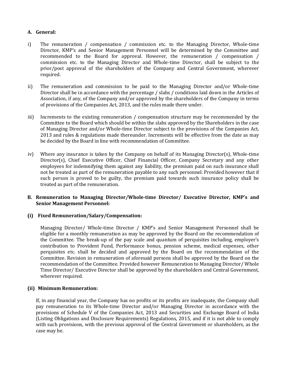## A. General:

- i) The remuneration / compensation / commission etc. to the Managing Director, Whole-time Director, KMP's and Senior Management Personnel will be determined by the Committee and recommended to the Board for approval. However, the remuneration / compensation / commission etc. to the Managing Director and Whole-time Director, shall be subject to the prior/post approval of the shareholders of the Company and Central Government, wherever required.
- ii) The remuneration and commission to be paid to the Managing Director and/or Whole-time Director shall be in accordance with the percentage / slabs / conditions laid down in the Articles of Association, if any, of the Company and/or approved by the shareholders of the Company in terms of provisions of the Companies Act, 2013, and the rules made there under.
- iii) Increments to the existing remuneration / compensation structure may be recommended by the Committee to the Board which should be within the slabs approved by the Shareholders in the case of Managing Director and/or Whole-time Director subject to the provisions of the Companies Act, 2013 and rules & regulations made thereunder. Increments will be effective from the date as may be decided by the Board in line with recommendation of Committee.
- iv) Where any insurance is taken by the Company on behalf of its Managing Director(s), Whole-time Director(s), Chief Executive Officer, Chief Financial Officer, Company Secretary and any other employees for indemnifying them against any liability, the premium paid on such insurance shall not be treated as part of the remuneration payable to any such personnel. Provided however that if such person is proved to be guilty, the premium paid towards such insurance policy shall be treated as part of the remuneration.

#### B. Remuneration to Managing Director/Whole-time Director/ Executive Director, KMP's and Senior Management Personnel:

## (i) Fixed Remuneration/Salary/Compensation:

Managing Director/ Whole-time Director / KMP's and Senior Management Personnel shall be eligible for a monthly remuneration as may be approved by the Board on the recommendation of the Committee. The break-up of the pay scale and quantum of perquisites including, employer's contribution to Provident Fund, Performance bonus, pension scheme, medical expenses, other perquisites etc. shall be decided and approved by the Board on the recommendation of the Committee. Revision in remuneration of aforesaid persons shall be approved by the Board on the recommendation of the Committee. Provided however Remuneration to Managing Director/ Whole Time Director/ Executive Director shall be approved by the shareholders and Central Government, wherever required.

## (ii) Minimum Remuneration:

If, in any financial year, the Company has no profits or its profits are inadequate, the Company shall pay remuneration to its Whole-time Director and/or Managing Director in accordance with the provisions of Schedule V of the Companies Act, 2013 and Securities and Exchange Board of India (Listing Obligations and Disclosure Requirements) Regulations, 2015, and if it is not able to comply with such provisions, with the previous approval of the Central Government or shareholders, as the case may be.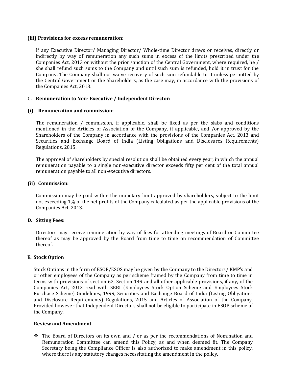#### (iii) Provisions for excess remuneration:

If any Executive Director/ Managing Director/ Whole-time Director draws or receives, directly or indirectly by way of remuneration any such sums in excess of the limits prescribed under the Companies Act, 2013 or without the prior sanction of the Central Government, where required, he / she shall refund such sums to the Company and until such sum is refunded, hold it in trust for the Company. The Company shall not waive recovery of such sum refundable to it unless permitted by the Central Government or the Shareholders, as the case may, in accordance with the provisions of the Companies Act, 2013.

#### C. Remuneration to Non- Executive / Independent Director:

#### (i) Remuneration and commission:

The remuneration / commission, if applicable, shall be fixed as per the slabs and conditions mentioned in the Articles of Association of the Company, if applicable, and /or approved by the Shareholders of the Company in accordance with the provisions of the Companies Act, 2013 and Securities and Exchange Board of India (Listing Obligations and Disclosures Requirements) Regulations, 2015.

The approval of shareholders by special resolution shall be obtained every year, in which the annual remuneration payable to a single non-executive director exceeds fifty per cent of the total annual remuneration payable to all non-executive directors.

#### (ii) Commission:

Commission may be paid within the monetary limit approved by shareholders, subject to the limit not exceeding 1% of the net profits of the Company calculated as per the applicable provisions of the Companies Act, 2013.

#### D. Sitting Fees:

Directors may receive remuneration by way of fees for attending meetings of Board or Committee thereof as may be approved by the Board from time to time on recommendation of Committee thereof.

#### E. Stock Option

Stock Options in the form of ESOP/ESOS may be given by the Company to the Directors/ KMP's and or other employees of the Company as per scheme framed by the Company from time to time in terms with provisions of section 62, Section 149 and all other applicable provisions, if any, of the Companies Act, 2013 read with SEBI (Employees Stock Option Scheme and Employees Stock Purchase Scheme) Guidelines, 1999, Securities and Exchange Board of India (Listing Obligations and Disclosure Requirements) Regulations, 2015 and Articles of Association of the Company. Provided however that Independent Directors shall not be eligible to participate in ESOP scheme of the Company.

#### Review and Amendment

 The Board of Directors on its own and / or as per the recommendations of Nomination and Remuneration Committee can amend this Policy, as and when deemed fit. The Company Secretary being the Compliance Officer is also authorized to make amendment in this policy, where there is any statutory changes necessitating the amendment in the policy.